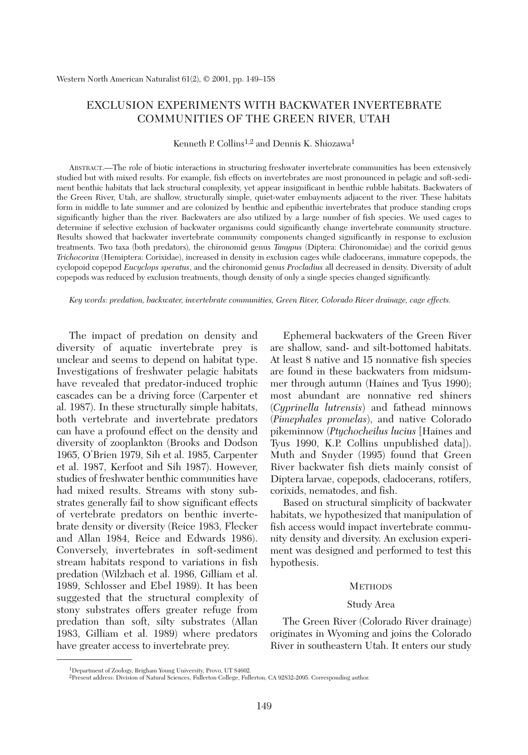# EXCLUSION EXPERIMENTS WITH BACKWATER INVERTEBRATE COMMUNITIES OF THE GREEN RIVER, UTAH

Kenneth P. Collins<sup>1,2</sup> and Dennis K. Shiozawa<sup>1</sup>

ABSTRACT.—The role of biotic interactions in structuring freshwater invertebrate communities has been extensively studied but with mixed results. For example, fish effects on invertebrates are most pronounced in pelagic and soft-sediment benthic habitats that lack structural complexity, yet appear insignificant in benthic rubble habitats. Backwaters of the Green River, Utah, are shallow, structurally simple, quiet-water embayments adjacent to the river. These habitats form in middle to late summer and are colonized by benthic and epibenthic invertebrates that produce standing crops significantly higher than the river. Backwaters are also utilized by a large number of fish species. We used cages to determine if selective exclusion of backwater organisms could significantly change invertebrate community structure. Results showed that backwater invertebrate community components changed significantly in response to exclusion treatments. Two taxa (both predators), the chironomid genus *Tanypus* (Diptera: Chironomidae) and the corixid genus *Trichocorixa* (Hemiptera: Corixidae), increased in density in exclusion cages while cladocerans, immature copepods, the cyclopoid copepod *Eucyclops speratus*, and the chironomid genus *Procladius* all decreased in density. Diversity of adult copepods was reduced by exclusion treatments, though density of only a single species changed significantly.

*Key words: predation, backwater, invertebrate communities, Green River, Colorado River drainage, cage effects.*

The impact of predation on density and diversity of aquatic invertebrate prey is unclear and seems to depend on habitat type. Investigations of freshwater pelagic habitats have revealed that predator-induced trophic cascades can be a driving force (Carpenter et al. 1987). In these structurally simple habitats, both vertebrate and invertebrate predators can have a profound effect on the density and diversity of zooplankton (Brooks and Dodson 1965, O'Brien 1979, Sih et al. 1985, Carpenter et al. 1987, Kerfoot and Sih 1987). However, studies of freshwater benthic communities have had mixed results. Streams with stony substrates generally fail to show significant effects of vertebrate predators on benthic invertebrate density or diversity (Reice 1983, Flecker and Allan 1984, Reice and Edwards 1986). Conversely, invertebrates in soft-sediment stream habitats respond to variations in fish predation (Wilzbach et al. 1986, Gilliam et al. 1989, Schlosser and Ebel 1989). It has been suggested that the structural complexity of stony substrates offers greater refuge from predation than soft, silty substrates (Allan 1983, Gilliam et al. 1989) where predators have greater access to invertebrate prey.

Ephemeral backwaters of the Green River are shallow, sand- and silt-bottomed habitats. At least 8 native and 15 nonnative fish species are found in these backwaters from midsummer through autumn (Haines and Tyus 1990); most abundant are nonnative red shiners (*Cyprinella lutrensis*) and fathead minnows (*Pimephales promelas*), and native Colorado pikeminnow (*Ptychocheilus lucius* [Haines and Tyus 1990, K.P. Collins unpublished data]). Muth and Snyder (1995) found that Green River backwater fish diets mainly consist of Diptera larvae, copepods, cladocerans, rotifers, corixids, nematodes, and fish.

Based on structural simplicity of backwater habitats, we hypothesized that manipulation of fish access would impact invertebrate community density and diversity. An exclusion experiment was designed and performed to test this hypothesis.

### **METHODS**

## Study Area

The Green River (Colorado River drainage) originates in Wyoming and joins the Colorado River in southeastern Utah. It enters our study

<sup>1</sup>Department of Zoology, Brigham Young University, Provo, UT 84602.

<sup>2</sup>Present address: Division of Natural Sciences, Fullerton College, Fullerton, CA 92832-2095. Corresponding author.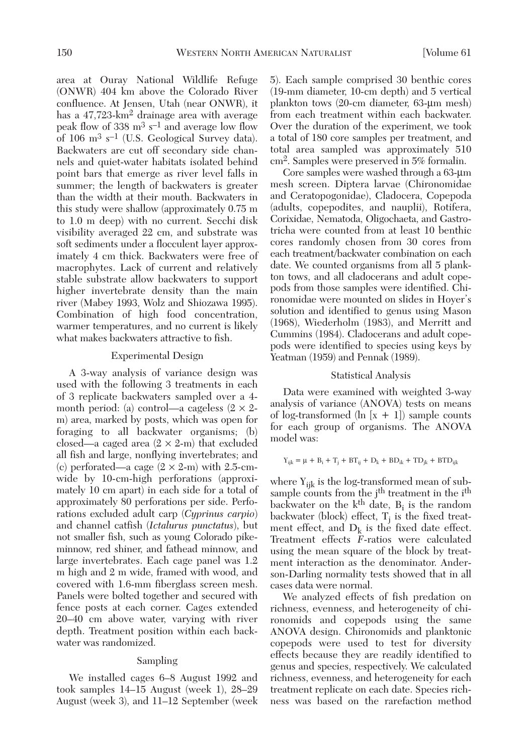area at Ouray National Wildlife Refuge (ONWR) 404 km above the Colorado River confluence. At Jensen, Utah (near ONWR), it has a 47,723-km<sup>2</sup> drainage area with average peak flow of 338  $\mathrm{m}^3$  s<sup>-1</sup> and average low flow of 106  $\mathrm{m}^3$  s<sup>-1</sup> (U.S. Geological Survey data). Backwaters are cut off secondary side channels and quiet-water habitats isolated behind point bars that emerge as river level falls in summer; the length of backwaters is greater than the width at their mouth. Backwaters in this study were shallow (approximately 0.75 m to 1.0 m deep) with no current. Secchi disk visibility averaged 22 cm, and substrate was soft sediments under a flocculent layer approximately 4 cm thick. Backwaters were free of macrophytes. Lack of current and relatively stable substrate allow backwaters to support higher invertebrate density than the main river (Mabey 1993, Wolz and Shiozawa 1995). Combination of high food concentration, warmer temperatures, and no current is likely what makes backwaters attractive to fish.

### Experimental Design

A 3-way analysis of variance design was used with the following 3 treatments in each of 3 replicate backwaters sampled over a 4 month period: (a) control—a cageless ( $2 \times 2$ m) area, marked by posts, which was open for foraging to all backwater organisms; (b) closed—a caged area  $(2 \times 2-m)$  that excluded all fish and large, nonflying invertebrates; and (c) perforated—a cage  $(2 \times 2-m)$  with 2.5-cmwide by 10-cm-high perforations (approximately 10 cm apart) in each side for a total of approximately 80 perforations per side. Perforations excluded adult carp (*Cyprinus carpio*) and channel catfish (*Ictalurus punctatus*), but not smaller fish, such as young Colorado pikeminnow, red shiner, and fathead minnow, and large invertebrates. Each cage panel was 1.2 m high and 2 m wide, framed with wood, and covered with 1.6-mm fiberglass screen mesh. Panels were bolted together and secured with fence posts at each corner. Cages extended 20–40 cm above water, varying with river depth. Treatment position within each backwater was randomized.

### Sampling

We installed cages 6–8 August 1992 and took samples 14–15 August (week 1), 28–29 August (week 3), and 11–12 September (week 5). Each sample comprised 30 benthic cores (19-mm diameter, 10-cm depth) and 5 vertical plankton tows (20-cm diameter, 63-µm mesh) from each treatment within each backwater. Over the duration of the experiment, we took a total of 180 core samples per treatment, and total area sampled was approximately 510 cm2. Samples were preserved in 5% formalin.

Core samples were washed through a 63-µm mesh screen. Diptera larvae (Chironomidae and Ceratopogonidae), Cladocera, Copepoda (adults, copepodites, and nauplii), Rotifera, Corixidae, Nematoda, Oligochaeta, and Gastrotricha were counted from at least 10 benthic cores randomly chosen from 30 cores from each treatment/backwater combination on each date. We counted organisms from all 5 plankton tows, and all cladocerans and adult copepods from those samples were identified. Chironomidae were mounted on slides in Hoyer's solution and identified to genus using Mason (1968), Wiederholm (1983), and Merritt and Cummins (1984). Cladocerans and adult copepods were identified to species using keys by Yeatman (1959) and Pennak (1989).

### Statistical Analysis

Data were examined with weighted 3-way analysis of variance (ANOVA) tests on means of log-transformed  $(\ln [x + 1])$  sample counts for each group of organisms. The ANOVA model was:

$$
Y_{ijk} = \mu + B_i + T_j + BT_{ij} + D_k + BD_{ik} + TD_{jk} + BTD_{ijk}
$$

where  $Y_{iik}$  is the log-transformed mean of subsample counts from the j<sup>th</sup> treatment in the i<sup>th</sup> backwater on the  $k<sup>th</sup>$  date,  $B<sub>i</sub>$  is the random backwater (block) effect,  $T_i$  is the fixed treatment effect, and  $D_k$  is the fixed date effect. Treatment effects *F*-ratios were calculated using the mean square of the block by treatment interaction as the denominator. Anderson-Darling normality tests showed that in all cases data were normal.

We analyzed effects of fish predation on richness, evenness, and heterogeneity of chironomids and copepods using the same ANOVA design. Chironomids and planktonic copepods were used to test for diversity effects because they are readily identified to genus and species, respectively. We calculated richness, evenness, and heterogeneity for each treatment replicate on each date. Species richness was based on the rarefaction method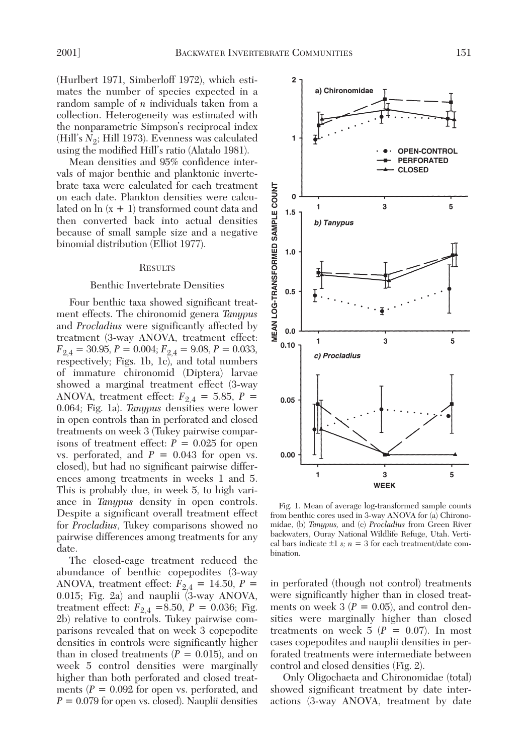(Hurlbert 1971, Simberloff 1972), which estimates the number of species expected in a random sample of *n* individuals taken from a collection. Heterogeneity was estimated with the nonparametric Simpson's reciprocal index (Hill's *N*<sub>2</sub>; Hill 1973). Evenness was calculated using the modified Hill's ratio (Alatalo 1981).

Mean densities and 95% confidence intervals of major benthic and planktonic invertebrate taxa were calculated for each treatment on each date. Plankton densities were calculated on  $\ln(x + 1)$  transformed count data and then converted back into actual densities because of small sample size and a negative binomial distribution (Elliot 1977).

#### **RESULTS**

### Benthic Invertebrate Densities

Four benthic taxa showed significant treatment effects. The chironomid genera *Tanypus* and *Procladius* were significantly affected by treatment (3-way ANOVA, treatment effect:  $F_{2,4} = 30.95, P = 0.004; F_{2,4} = 9.08, P = 0.033,$ respectively; Figs. 1b, 1c), and total numbers of immature chironomid (Diptera) larvae showed a marginal treatment effect (3-way ANOVA, treatment effect:  $F_{2,4} = 5.85, P =$ 0.064; Fig. 1a). *Tanypus* densities were lower in open controls than in perforated and closed treatments on week 3 (Tukey pairwise comparisons of treatment effect:  $P = 0.025$  for open vs. perforated, and  $P = 0.043$  for open vs. closed), but had no significant pairwise differences among treatments in weeks 1 and 5. This is probably due, in week 5, to high variance in *Tanypus* density in open controls. Despite a significant overall treatment effect for *Procladius*, Tukey comparisons showed no pairwise differences among treatments for any date.

The closed-cage treatment reduced the abundance of benthic copepodites (3-way ANOVA, treatment effect:  $F_{2,4} = 14.50, P =$ 0.015; Fig. 2a) and nauplii (3-way ANOVA, treatment effect:  $F_{2,4}$  =8.50,  $P = 0.036$ ; Fig. 2b) relative to controls. Tukey pairwise comparisons revealed that on week 3 copepodite densities in controls were significantly higher than in closed treatments  $(P = 0.015)$ , and on week 5 control densities were marginally higher than both perforated and closed treatments  $(P = 0.092$  for open vs. perforated, and  $P = 0.079$  for open vs. closed). Nauplii densities



Fig. 1. Mean of average log-transformed sample counts from benthic cores used in 3-way ANOVA for (a) Chironomidae, (b) *Tanypus,* and (c) *Procladius* from Green River backwaters, Ouray National Wildlife Refuge, Utah. Vertical bars indicate  $\pm 1$  *s*; *n* = 3 for each treatment/date combination.

in perforated (though not control) treatments were significantly higher than in closed treatments on week  $3 (P = 0.05)$ , and control densities were marginally higher than closed treatments on week  $5$  ( $P = 0.07$ ). In most cases copepodites and nauplii densities in perforated treatments were intermediate between control and closed densities (Fig. 2).

Only Oligochaeta and Chironomidae (total) showed significant treatment by date interactions (3-way ANOVA, treatment by date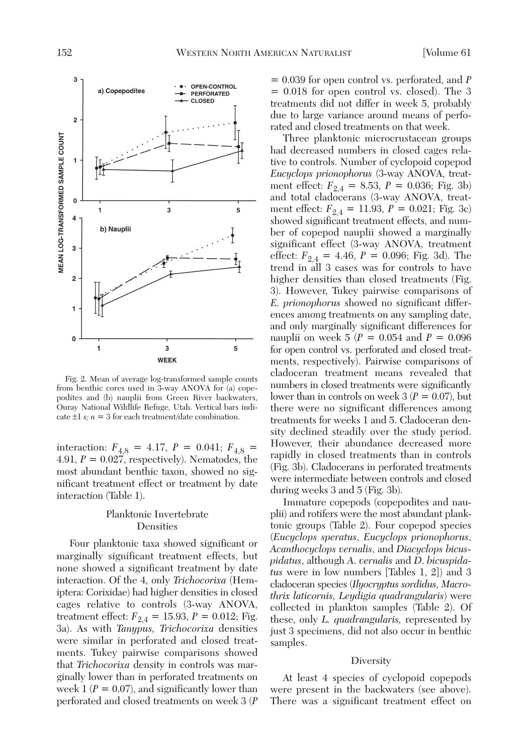

Fig. 2. Mean of average log-transformed sample counts from benthic cores used in 3-way ANOVA for (a) copepodites and (b) nauplii from Green River backwaters, Ouray National Wildlife Refuge, Utah. Vertical bars indicate  $\pm 1$  *s*;  $n = 3$  for each treatment/date combination.

interaction:  $F_{4,8} = 4.17$ ,  $P = 0.041$ ;  $F_{4,8} =$ 4.91, *P* = 0.027, respectively). Nematodes, the most abundant benthic taxon, showed no significant treatment effect or treatment by date interaction (Table 1).

## Planktonic Invertebrate Densities

Four planktonic taxa showed significant or marginally significant treatment effects, but none showed a significant treatment by date interaction. Of the 4, only *Trichocorixa* (Hemiptera: Corixidae) had higher densities in closed cages relative to controls (3-way ANOVA, treatment effect:  $F_{2,4} = 15.93, P = 0.012$ ; Fig. 3a). As with *Tanypus, Trichocorixa* densities were similar in perforated and closed treatments. Tukey pairwise comparisons showed that *Trichocorixa* density in controls was marginally lower than in perforated treatments on week  $1 (P = 0.07)$ , and significantly lower than perforated and closed treatments on week 3 (*P*

= 0.039 for open control vs. perforated, and *P* = 0.018 for open control vs. closed). The 3 treatments did not differ in week 5, probably due to large variance around means of perforated and closed treatments on that week.

Three planktonic microcrustacean groups had decreased numbers in closed cages relative to controls. Number of cyclopoid copepod *Eucyclops prionophorus* (3-way ANOVA, treatment effect:  $F_{2,4} = 8.53$ ,  $P = 0.036$ ; Fig. 3b) and total cladocerans (3-way ANOVA, treatment effect:  $F_{2,4} = 11.93$ ,  $P = 0.021$ ; Fig. 3c) showed significant treatment effects, and number of copepod nauplii showed a marginally significant effect (3-way ANOVA, treatment effect:  $F_{2,4} = 4.46$ ,  $P = 0.096$ ; Fig. 3d). The trend in all 3 cases was for controls to have higher densities than closed treatments (Fig. 3). However, Tukey pairwise comparisons of *E. prionophorus* showed no significant differences among treatments on any sampling date, and only marginally significant differences for nauplii on week 5 ( $P = 0.054$  and  $P = 0.096$ for open control vs. perforated and closed treatments, respectively). Pairwise comparisons of cladoceran treatment means revealed that numbers in closed treatments were significantly lower than in controls on week  $3 (P = 0.07)$ , but there were no significant differences among treatments for weeks 1 and 5. Cladoceran density declined steadily over the study period. However, their abundance decreased more rapidly in closed treatments than in controls (Fig. 3b). Cladocerans in perforated treatments were intermediate between controls and closed during weeks 3 and 5 (Fig. 3b).

Immature copepods (copepodites and nauplii) and rotifers were the most abundant planktonic groups (Table 2). Four copepod species (*Eucyclops speratus*, *Eucyclops prionophorus*, *Acanthocyclops vernalis*, and *Diacyclops bicuspidatus*, although *A*. *vernalis* and *D*. *bicuspidatus* were in low numbers [Tables 1, 2]) and 3 cladoceran species (*Ilyocryptus sordidus*, *Macrothrix laticornis, Leydigia quadrangularis*) were collected in plankton samples (Table 2). Of these, only *L. quadrangularis,* represented by just 3 specimens, did not also occur in benthic samples.

### **Diversity**

At least 4 species of cyclopoid copepods were present in the backwaters (see above). There was a significant treatment effect on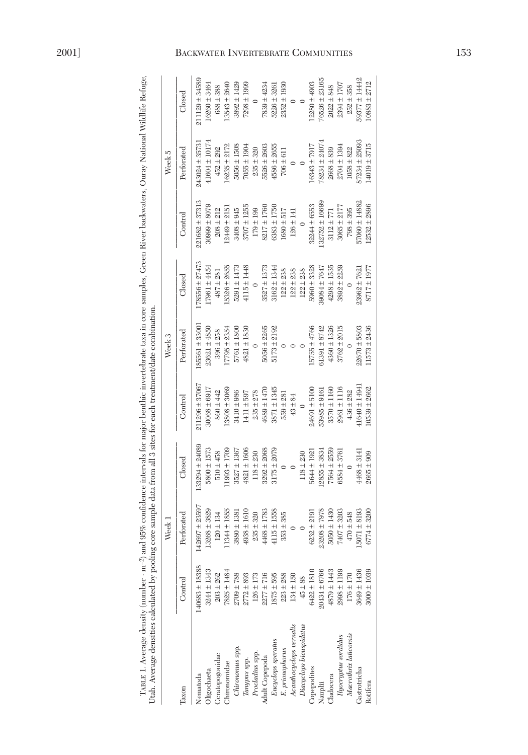| Utah. Average densities calculated by pooling                                              |                    | Week 1           |                   |                    | Week 3           |                   |                  | Week 5            |                    |
|--------------------------------------------------------------------------------------------|--------------------|------------------|-------------------|--------------------|------------------|-------------------|------------------|-------------------|--------------------|
| Taxon                                                                                      | Control            | Perforated       | $_{\rm closed}$   | Control            | Perforated       | $_{\rm closed}$   | Control          | Perforated        | $\rm{Closed}$      |
| Nematoda                                                                                   | $140683 \pm 18388$ | 142697 ± 23597   | $33294 \pm 24089$ | $211296 \pm 37067$ | 85561 ± 3300     | $78556 \pm 27473$ | 221682 ± 37313   | 243024±35731      | $211129 \pm 34589$ |
| Oligochaeta                                                                                | $3244 \pm 1343$    | $.3268 \pm 3829$ | $5800 \pm 1573$   | $30068 \pm 6917$   | $23621 \pm 4850$ | 17961 ± 4454      | $30999 \pm 8079$ | $41604 \pm 10174$ | 16260 ± 3464       |
| Ceratopogonidae                                                                            | $203 + 262$        | $120 \pm 134$    | $510 \pm 458$     | $860 \pm 442$      | $396 \pm 258$    | $487 \pm 281$     | $208 \pm 212$    | $452 \pm 292$     | $688 \pm 388$      |
| <b>Chironomidae</b>                                                                        | $7825 \pm 1484$    | $.1344 \pm 1855$ | $1993 \pm 1709$   | $.3808 \pm 3069$   | $17795 \pm 2354$ | $5326 \pm 2655$   | $12449 \pm 2151$ | $16235 \pm 2172$  | $13543 \pm 2640$   |
| Chironomus spp.                                                                            | $2709 \pm 788$     | $3880 \pm 1381$  | $3527 \pm 1367$   | 3410 ± 986         | 5761 ± 1800      | 5291 ± 1473       | $3408 \pm 945$   | $5056 \pm 1508$   | $3892 \pm 1429$    |
| Tanypus spp.                                                                               | $2772 \pm 893$     | $4938 \pm 1610$  | $4821 \pm 1606$   | 1411 ± 597         | $4821 \pm 1830$  | $4115 \pm 1448$   | $3707 \pm 1255$  | $7055 \pm 1904$   | $7298 \pm 1999$    |
| Procladius spp.                                                                            | $126 \pm 173$      | $235 + 320$      | $118 \pm 230$     | $235 \pm 278$      |                  |                   | $179 \pm 199$    | $235 \pm 320$     |                    |
| Adult Copepoda                                                                             | $2277 \pm 716$     | 4468 ± 1783      | $3292 \pm 2068$   | $4689 \pm 1470$    | $5056 \pm 2265$  | $3527 \pm 1373$   | 8217 ± 1760      | 5526 ± 2603       | $7839 \pm 4234$    |
|                                                                                            | $1875 \pm 595$     | $4115 \pm 1558$  | $3175 \pm 2079$   | 3871 ± 1345        | $5173 \pm 2192$  | $3162 \pm 1344$   | $6383 \pm 1750$  | $4586 \pm 2655$   | 5226 ± 3261        |
| $\begin{array}{l} \textit{Euyclops} {\it speratus} \\ \textit{E. prorophorus} \end{array}$ | $223 \pm 288$      | $353 \pm 385$    |                   | $559 \pm 281$      |                  | $122 \pm 238$     | $1680 \pm 517$   | $706 \pm 611$     | $2352 \pm 1930$    |
| Acanthocyclops vernalis                                                                    | $134 \pm 150$      |                  |                   | $43 \pm 84$        |                  | $122 \pm 238$     | $126 \pm 141$    |                   |                    |
| Diacyclops bicuspidatus                                                                    | $45 \pm 88$        |                  | $118 \pm 230$     |                    |                  | $122 \pm 238$     |                  |                   |                    |
| Copepodites                                                                                | $6422 \pm 1810$    | $6232 \pm 219$   | 5644 ± 1921       | $24691 \pm 5100$   | $15755 \pm 4766$ | $5960 \pm 3328$   | $32244 \pm 6553$ | 16343 ± 7917      | $12280 \pm 4903$   |
| Nauplii                                                                                    | 20434 ± 6766       | $23208 \pm 7978$ | $.2855 \pm 3834$  | $53985 \pm 9161$   | $61391 \pm 8742$ | 39084 ± 7647      | 132752 ± 16699   | 78234 ± 24074     | $76526 \pm 23165$  |
| Cladocera                                                                                  | $4879 \pm 1443$    | $5050 \pm 1430$  | $7564 + 2559$     | $3570 \pm 1160$    | $4360 \pm 1326$  | $4298 \pm 1535$   | $3112 \pm 771$   | $2668 \pm 839$    | $2022 \pm 848$     |
| Ilyocryptus sordidus                                                                       | $2998 \pm 1199$    | 7407±3203        | 6584 ± 3761       | $2961 \pm 1116$    | $3762 \pm 2015$  | $3892 \pm 2259$   | $3065 \pm 2177$  | $2704 \pm 1394$   | $2394 \pm 1707$    |
| Macrothrix laticornis                                                                      | $176 \pm 170$      | $470 \pm 548$    |                   | $436 \pm 282$      |                  |                   | $798 \pm 395$    | $1058 \pm 822$    | $252 \pm 358$      |
| Gastrotricha                                                                               | $3649 \pm 1436$    | $5071 \pm 8193$  | $1468 \pm 3141$   | 11640 ± 14941      | $22670 \pm 5803$ | $23962 \pm 7621$  | 57060 ± 14882    | 87234 ± 25093     | 59377 ± 14442      |
| Rotifera                                                                                   | $3000 \pm 1039$    | $6774 \pm 3200$  | $2665 \pm 909$    | $10539 \pm 2662$   | $11573 \pm 2436$ | $8717 \pm 1977$   | $12532 \pm 2896$ | $14019 + 3715$    | $10883 \pm 2712$   |
|                                                                                            |                    |                  |                   |                    |                  |                   |                  |                   |                    |

TABLE 1. Average density (number  $m^{-2}$ ) and 95% confidence intervals for major benthic invertebrate taxa in core samples, Green River backwaters, Ouray National Wildlife Refuge, TABLE 1. Average density (number ⋅ m–2) and 95% confidence intervals for major benthic invertebrate taxa in core samples, Green River backwaters, Ouray National Wildlife Refuge, Utah. Average densities calculated by pooling core sample data from all 3 sites for each treatment/date combination.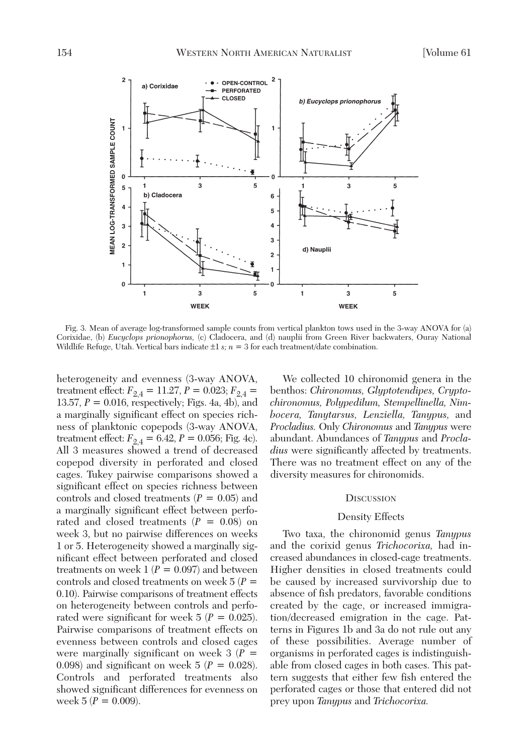

Fig. 3. Mean of average log-transformed sample counts from vertical plankton tows used in the 3-way ANOVA for (a) Corixidae, (b) *Eucyclops prionophorus,* (c) Cladocera, and (d) nauplii from Green River backwaters, Ouray National Wildlife Refuge, Utah. Vertical bars indicate  $\pm 1 s$ ;  $n = 3$  for each treatment/date combination.

heterogeneity and evenness (3-way ANOVA, treatment effect:  $F_{2,4} = 11.27, P = 0.023; F_{2,4} =$ 13.57, *P* = 0.016, respectively; Figs. 4a, 4b), and a marginally significant effect on species richness of planktonic copepods (3-way ANOVA, treatment effect:  $F_{2,4} = 6.42, P = 0.056$ ; Fig. 4c). All 3 measures showed a trend of decreased copepod diversity in perforated and closed cages. Tukey pairwise comparisons showed a significant effect on species richness between controls and closed treatments (*P* = 0.05) and a marginally significant effect between perforated and closed treatments  $(P = 0.08)$  on week 3, but no pairwise differences on weeks 1 or 5. Heterogeneity showed a marginally significant effect between perforated and closed treatments on week  $1 (P = 0.097)$  and between controls and closed treatments on week 5 (*P* = 0.10). Pairwise comparisons of treatment effects on heterogeneity between controls and perforated were significant for week  $5 (P = 0.025)$ . Pairwise comparisons of treatment effects on evenness between controls and closed cages were marginally significant on week  $3(P =$ 0.098) and significant on week  $5 (P = 0.028)$ . Controls and perforated treatments also showed significant differences for evenness on week  $5 (P = 0.009)$ .

We collected 10 chironomid genera in the benthos: *Chironomus, Glyptotendipes, Cryptochironomus, Polypedilum, Stempellinella, Nimbocera, Tanytarsus, Lenziella, Tanypus,* and *Procladius.* Only *Chironomus* and *Tanypus* were abundant. Abundances of *Tanypus* and *Procladius* were significantly affected by treatments. There was no treatment effect on any of the diversity measures for chironomids.

### **DISCUSSION**

## Density Effects

Two taxa, the chironomid genus *Tanypus* and the corixid genus *Trichocorixa,* had increased abundances in closed-cage treatments. Higher densities in closed treatments could be caused by increased survivorship due to absence of fish predators, favorable conditions created by the cage, or increased immigration/decreased emigration in the cage. Patterns in Figures 1b and 3a do not rule out any of these possibilities. Average number of organisms in perforated cages is indistinguishable from closed cages in both cases. This pattern suggests that either few fish entered the perforated cages or those that entered did not prey upon *Tanypus* and *Trichocorixa.*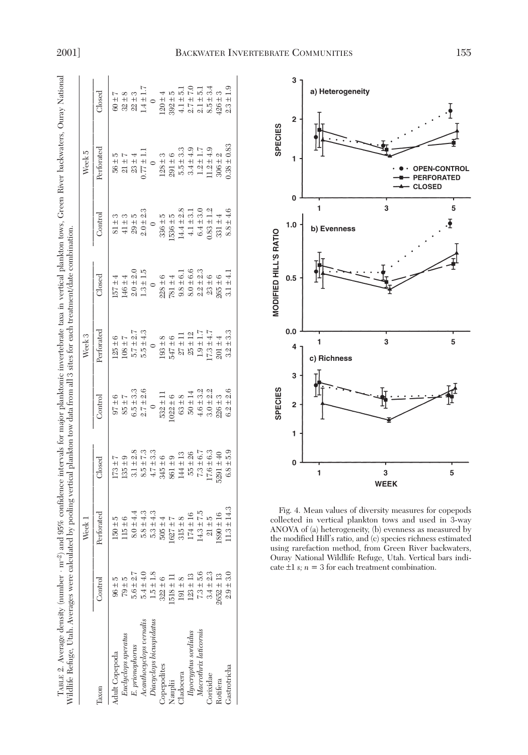| TABLE 2. Average density (number · m <sup>-2</sup> ) and 95% confidence intervals for major planktonic invertebrate taxa in vertical plankton tows. Green River backwaters, Ouray National<br>Wildlife Refuge, Utah. Averages were calculated by pooling vertical plankton tow data from all 3 sites for each treatment/date combination. |               |                 |                |               |                   |                                                  |                |                 |               |
|-------------------------------------------------------------------------------------------------------------------------------------------------------------------------------------------------------------------------------------------------------------------------------------------------------------------------------------------|---------------|-----------------|----------------|---------------|-------------------|--------------------------------------------------|----------------|-----------------|---------------|
|                                                                                                                                                                                                                                                                                                                                           |               | Week 1          |                |               | Week <sub>3</sub> |                                                  |                | Week 5          |               |
| laxon                                                                                                                                                                                                                                                                                                                                     | Control       | Perforated      | $\rm{Closed}$  | Control       | Perforated        | $\begin{array}{c}\square \text{osed}\end{array}$ | Control        | Perforated      | $\rm{Closed}$ |
| dult Copepoda                                                                                                                                                                                                                                                                                                                             | $96 \pm 5$    | $150 + 5$       | $173 \pm 7$    | $97 \pm 6$    | $125 + 6$         | $157 \pm 4$                                      | $81 \pm 3$     | $56 \pm 5$      | $60 \pm 7$    |
| Euclyclops speratus                                                                                                                                                                                                                                                                                                                       | $79 + 5$      | $115 \pm 6$     | $135 + 9$      | $85 + 7$      | $108 + 7$         | $146 \pm 4$                                      | $41 \pm 3$     | $21 \pm 7$      | $32 \pm 8$    |
| E. prionophorus                                                                                                                                                                                                                                                                                                                           | $5.6 \pm 2.7$ | $8.0 \pm 4.4$   | $3.1 \pm 2.8$  | $6.5 \pm 3.3$ | $5.7 \pm 2.7$     | $2.0 \pm 2.0$                                    | $29 + 5$       | $23 \pm 4$      | $22 \pm 3$    |
| Acanthocyclops vernalis                                                                                                                                                                                                                                                                                                                   | $5.4 \pm 4.0$ | $5.8 \pm 4.3$   | $8.5 \pm 7.3$  | $2.7 \pm 2.6$ | $5.5 \pm 4.3$     | $1.3 \pm 1.5$                                    | $2.0 \pm 2.3$  | $0.77 \pm 1.1$  | $1.4 \pm 1.7$ |
| Diacyclops bicuspidatus                                                                                                                                                                                                                                                                                                                   | $.5 \pm 1.8$  | $5.3 \pm 4.3$   | $4.7 \pm 3.3$  |               |                   |                                                  |                |                 |               |
| Copepodites                                                                                                                                                                                                                                                                                                                               | $322 \pm 6$   | $505 \pm 4$     | $345 \pm 6$    | $532 \pm 11$  | $193 \pm 8$       | $228 \pm 6$                                      | $336 + 5$      | $128 \pm 3$     | $120 \pm 4$   |
| Nauplii                                                                                                                                                                                                                                                                                                                                   | $518 \pm 11$  | $-627 \pm 7$    | $861 \pm 9$    | $022 \pm 6$   | $547 \pm 6$       | $781 \pm 4$                                      | $1536 \pm 5$   | $291 \pm 6$     | $392 \pm 5$   |
| <b>Jadocera</b>                                                                                                                                                                                                                                                                                                                           | $191 \pm 8$   | $315 + 8$       | $144 \pm 13$   | $63 \pm 8$    | $27 \pm 11$       | $9.8 \pm 6.1$                                    | $14.4 \pm 2.8$ | $5.5 \pm 3.3$   | $4.1 \pm 5.1$ |
| Ilyocryptus sordidus                                                                                                                                                                                                                                                                                                                      | $123 \pm 13$  | $174 \pm 16$    | $55 \pm 26$    | $50 \pm 14$   | $25 \pm 12$       | $8.0 \pm 6.6$                                    | $4.1 \pm 3.1$  | $3.4 \pm 4.9$   | $2.7 \pm 7.0$ |
| Macrothrix laticornis                                                                                                                                                                                                                                                                                                                     | $7.3 \pm 5.6$ | $14.3 \pm 7.5$  | $7.3 \pm 6.7$  | $4.6 \pm 3.2$ | $1.9 \pm 1.7$     | $2.2 \pm 2.3$                                    | $6.4 \pm 3.0$  | $1.2 \pm 1.7$   | $2.1 \pm 5.1$ |
| Corixidae                                                                                                                                                                                                                                                                                                                                 | $3.4 \pm 2.3$ | $21 \pm 5$      | $17.6 \pm 6.3$ | $3.0 \pm 2.2$ | $17.3 \pm 4.7$    | $23 \pm 6$                                       | $0.83 \pm 1.2$ | $1.2 \pm 4.9$   | $8.5 \pm 3.4$ |
| Rotifera                                                                                                                                                                                                                                                                                                                                  | $2652 \pm 13$ | $.890 \pm 16$   | $5291 \pm 40$  | $226 \pm 3$   | $201 \pm 4$       | $265 \pm 6$                                      | $331 \pm 4$    | $306 \pm 2$     | $426 \pm 3$   |
| Gastrotricha                                                                                                                                                                                                                                                                                                                              | $2.9 + 3.0$   | $11.3 \pm 14.3$ | $6.8 \pm 5.9$  | $6.2 \pm 2.6$ | $3.2 \pm 3.3$     | $3.1 \pm 4.1$                                    | $8.8 \pm 4.6$  | $0.38 \pm 0.83$ | $2.3 \pm 1.9$ |

Gastrotricha



Fig. 4. Mean values of diversity measures for copepods collected in vertical plankton tows and used in 3-way ANOVA of (a) heterogeneity, (b) evenness as measured by the modified Hill's ratio, and (c) species richness estimated using rarefaction method, from Green River backwaters, Ouray National Wildlife Refuge, Utah. Vertical bars indicate  $\pm 1$  *s*;  $n = 3$  for each treatment combination.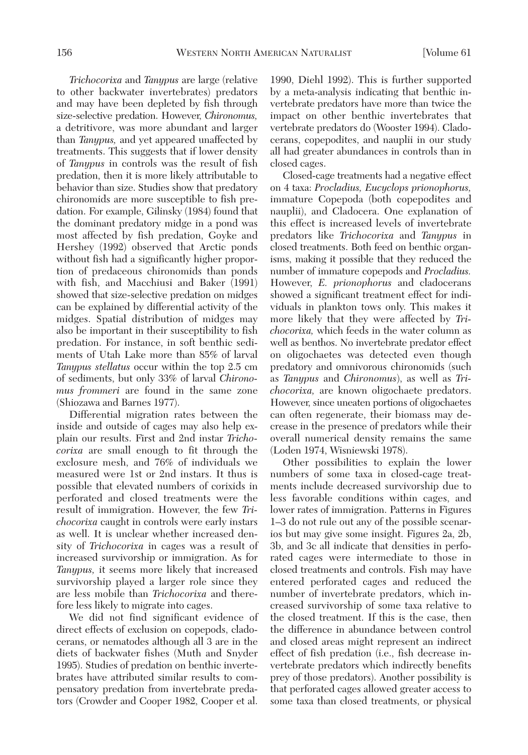*Trichocorixa* and *Tanypus* are large (relative to other backwater invertebrates) predators and may have been depleted by fish through size-selective predation. However, *Chironomus,* a detritivore, was more abundant and larger than *Tanypus,* and yet appeared unaffected by treatments. This suggests that if lower density of *Tanypus* in controls was the result of fish predation, then it is more likely attributable to behavior than size. Studies show that predatory chironomids are more susceptible to fish predation. For example, Gilinsky (1984) found that the dominant predatory midge in a pond was most affected by fish predation, Goyke and Hershey (1992) observed that Arctic ponds without fish had a significantly higher proportion of predaceous chironomids than ponds with fish, and Macchiusi and Baker (1991) showed that size-selective predation on midges can be explained by differential activity of the midges. Spatial distribution of midges may also be important in their susceptibility to fish predation. For instance, in soft benthic sediments of Utah Lake more than 85% of larval *Tanypus stellatus* occur within the top 2.5 cm of sediments, but only 33% of larval *Chironomus frommeri* are found in the same zone (Shiozawa and Barnes 1977).

Differential migration rates between the inside and outside of cages may also help explain our results. First and 2nd instar *Trichocorixa* are small enough to fit through the exclosure mesh, and 76% of individuals we measured were 1st or 2nd instars. It thus is possible that elevated numbers of corixids in perforated and closed treatments were the result of immigration. However, the few *Trichocorixa* caught in controls were early instars as well. It is unclear whether increased density of *Trichocorixa* in cages was a result of increased survivorship or immigration. As for *Tanypus,* it seems more likely that increased survivorship played a larger role since they are less mobile than *Trichocorixa* and therefore less likely to migrate into cages.

We did not find significant evidence of direct effects of exclusion on copepods, cladocerans, or nematodes although all 3 are in the diets of backwater fishes (Muth and Snyder 1995). Studies of predation on benthic invertebrates have attributed similar results to compensatory predation from invertebrate predators (Crowder and Cooper 1982, Cooper et al.

1990, Diehl 1992). This is further supported by a meta-analysis indicating that benthic invertebrate predators have more than twice the impact on other benthic invertebrates that vertebrate predators do (Wooster 1994). Cladocerans, copepodites, and nauplii in our study all had greater abundances in controls than in closed cages.

Closed-cage treatments had a negative effect on 4 taxa: *Procladius, Eucyclops prionophorus,* immature Copepoda (both copepodites and nauplii), and Cladocera. One explanation of this effect is increased levels of invertebrate predators like *Trichocorixa* and *Tanypus* in closed treatments. Both feed on benthic organisms, making it possible that they reduced the number of immature copepods and *Procladius.* However, *E. prionophorus* and cladocerans showed a significant treatment effect for individuals in plankton tows only. This makes it more likely that they were affected by *Trichocorixa,* which feeds in the water column as well as benthos. No invertebrate predator effect on oligochaetes was detected even though predatory and omnivorous chironomids (such as *Tanypus* and *Chironomus*), as well as *Trichocorixa,* are known oligochaete predators. However, since uneaten portions of oligochaetes can often regenerate, their biomass may decrease in the presence of predators while their overall numerical density remains the same (Loden 1974, Wisniewski 1978).

Other possibilities to explain the lower numbers of some taxa in closed-cage treatments include decreased survivorship due to less favorable conditions within cages, and lower rates of immigration. Patterns in Figures 1–3 do not rule out any of the possible scenarios but may give some insight. Figures 2a, 2b, 3b, and 3c all indicate that densities in perforated cages were intermediate to those in closed treatments and controls. Fish may have entered perforated cages and reduced the number of invertebrate predators, which increased survivorship of some taxa relative to the closed treatment. If this is the case, then the difference in abundance between control and closed areas might represent an indirect effect of fish predation (i.e., fish decrease invertebrate predators which indirectly benefits prey of those predators). Another possibility is that perforated cages allowed greater access to some taxa than closed treatments, or physical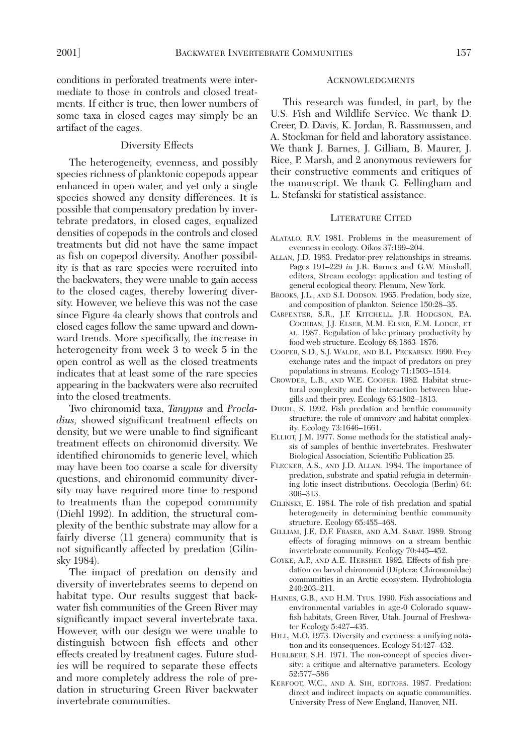conditions in perforated treatments were intermediate to those in controls and closed treatments. If either is true, then lower numbers of some taxa in closed cages may simply be an artifact of the cages.

## Diversity Effects

The heterogeneity, evenness, and possibly species richness of planktonic copepods appear enhanced in open water, and yet only a single species showed any density differences. It is possible that compensatory predation by invertebrate predators, in closed cages, equalized densities of copepods in the controls and closed treatments but did not have the same impact as fish on copepod diversity. Another possibility is that as rare species were recruited into the backwaters, they were unable to gain access to the closed cages, thereby lowering diversity. However, we believe this was not the case since Figure 4a clearly shows that controls and closed cages follow the same upward and downward trends. More specifically, the increase in heterogeneity from week 3 to week 5 in the open control as well as the closed treatments indicates that at least some of the rare species appearing in the backwaters were also recruited into the closed treatments.

Two chironomid taxa, *Tanypus* and *Procladius,* showed significant treatment effects on density, but we were unable to find significant treatment effects on chironomid diversity. We identified chironomids to generic level, which may have been too coarse a scale for diversity questions, and chironomid community diversity may have required more time to respond to treatments than the copepod community (Diehl 1992). In addition, the structural complexity of the benthic substrate may allow for a fairly diverse (11 genera) community that is not significantly affected by predation (Gilinsky 1984).

The impact of predation on density and diversity of invertebrates seems to depend on habitat type. Our results suggest that backwater fish communities of the Green River may significantly impact several invertebrate taxa. However, with our design we were unable to distinguish between fish effects and other effects created by treatment cages. Future studies will be required to separate these effects and more completely address the role of predation in structuring Green River backwater invertebrate communities.

### ACKNOWLEDGMENTS

This research was funded, in part, by the U.S. Fish and Wildlife Service. We thank D. Creer, D. Davis, K. Jordan, R. Rassmussen, and A. Stockman for field and laboratory assistance. We thank J. Barnes, J. Gilliam, B. Maurer, J. Rice, P. Marsh, and 2 anonymous reviewers for their constructive comments and critiques of the manuscript. We thank G. Fellingham and L. Stefanski for statistical assistance.

## LITERATURE CITED

- ALATALO, R.V. 1981. Problems in the measurement of evenness in ecology. Oikos 37:199–204.
- ALLAN, J.D. 1983. Predator-prey relationships in streams. Pages 191–229 *in* J.R. Barnes and G.W. Minshall, editors, Stream ecology: application and testing of general ecological theory. Plenum, New York.
- BROOKS, J.L., AND S.I. DODSON. 1965. Predation, body size, and composition of plankton. Science 150:28–35.
- CARPENTER, S.R., J.F. KITCHELL, J.R. HODGSON, P.A. COCHRAN, J.J. ELSER, M.M. ELSER, E.M. LODGE, ET AL. 1987. Regulation of lake primary productivity by food web structure. Ecology 68:1863–1876.
- COOPER, S.D., S.J. WALDE, AND B.L. PECKARSKY. 1990. Prey exchange rates and the impact of predators on prey populations in streams. Ecology 71:1503–1514.
- CROWDER, L.B., AND W.E. COOPER. 1982. Habitat structural complexity and the interaction between bluegills and their prey. Ecology 63:1802–1813.
- DIEHL, S. 1992. Fish predation and benthic community structure: the role of omnivory and habitat complexity. Ecology 73:1646–1661.
- ELLIOT, J.M. 1977. Some methods for the statistical analysis of samples of benthic invertebrates. Freshwater Biological Association, Scientific Publication 25.
- FLECKER, A.S., AND J.D. ALLAN. 1984. The importance of predation, substrate and spatial refugia in determining lotic insect distributions. Oecologia (Berlin) 64: 306–313.
- GILINSKY, E. 1984. The role of fish predation and spatial heterogeneity in determining benthic community structure. Ecology 65:455–468.
- GILLIAM, J.F., D.F. FRASER, AND A.M. SABAT. 1989. Strong effects of foraging minnows on a stream benthic invertebrate community. Ecology 70:445–452.
- GOYKE, A.P., AND A.E. HERSHEY. 1992. Effects of fish predation on larval chironomid (Diptera: Chironomidae) communities in an Arctic ecosystem. Hydrobiologia 240:203–211.
- HAINES, G.B., AND H.M. TYUS. 1990. Fish associations and environmental variables in age-0 Colorado squawfish habitats, Green River, Utah. Journal of Freshwater Ecology 5:427–435.
- HILL, M.O. 1973. Diversity and evenness: a unifying notation and its consequences. Ecology 54:427–432.
- HURLBERT, S.H. 1971. The non-concept of species diversity: a critique and alternative parameters. Ecology 52:577–586
- KERFOOT, W.C., AND A. SIH, EDITORS. 1987. Predation: direct and indirect impacts on aquatic communities. University Press of New England, Hanover, NH.